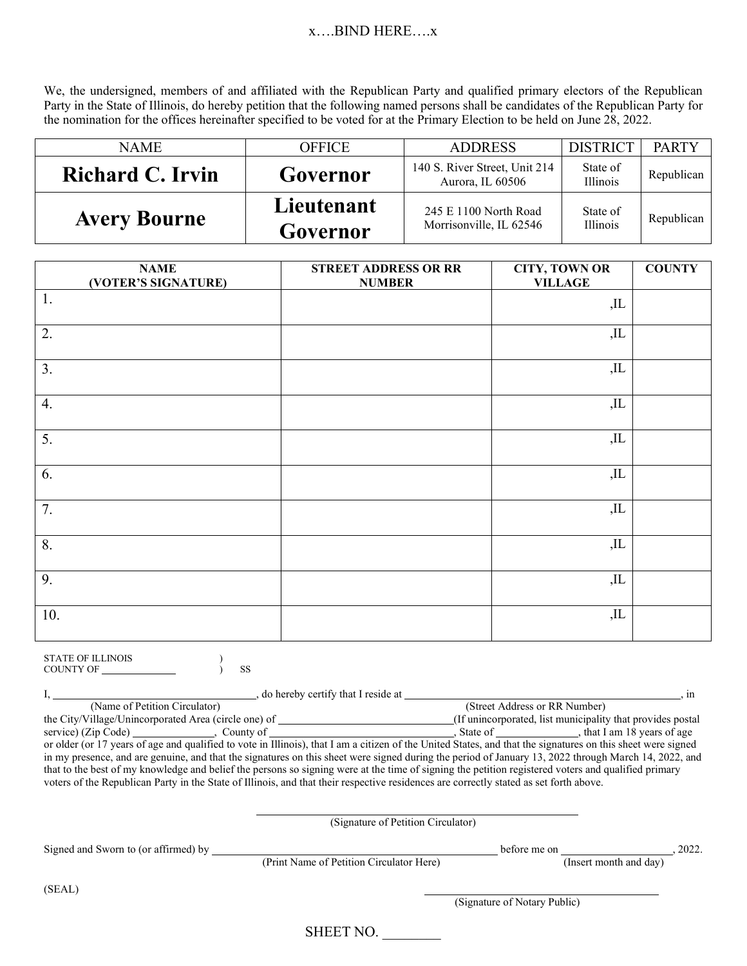## $x$ ....BIND HERE.... $x$

We, the undersigned, members of and affiliated with the Republican Party and qualified primary electors of the Republican Party in the State of Illinois, do hereby petition that the following named persons shall be candidates of the Republican Party for the nomination for the offices hereinafter specified to be voted for at the Primary Election to be held on June 28, 2022.

| <b>NAME</b>         | <b>OFFICE</b>          | <b>ADDRESS</b>                                    | <b>DISTRICT</b>             | <b>PARTY</b> |
|---------------------|------------------------|---------------------------------------------------|-----------------------------|--------------|
| Richard C. Irvin    | Governor               | 140 S. River Street, Unit 214<br>Aurora, IL 60506 | State of<br><b>Illinois</b> | Republican   |
| <b>Avery Bourne</b> | Lieutenant<br>Governor | 245 E 1100 North Road<br>Morrisonville, IL 62546  | State of<br>Illinois        | Republican   |

| <b>NAME</b><br>(VOTER'S SIGNATURE) | <b>STREET ADDRESS OR RR</b><br><b>NUMBER</b> | <b>CITY, TOWN OR</b><br><b>VILLAGE</b> | <b>COUNTY</b> |
|------------------------------------|----------------------------------------------|----------------------------------------|---------------|
| 1.                                 |                                              | $J_{\rm L}$                            |               |
| 2.                                 |                                              | $,$ IL                                 |               |
| 3.                                 |                                              | $J_{\rm L}$                            |               |
| 4.                                 |                                              | $,$ IL                                 |               |
| $\overline{5}$ .                   |                                              | $J_{\rm L}$                            |               |
| 6.                                 |                                              | $,$ IL                                 |               |
| $\overline{7}$ .                   |                                              | $J_{\rm L}$                            |               |
| 8.                                 |                                              | ,IL                                    |               |
| 9.                                 |                                              | ,IL                                    |               |
| 10.                                |                                              | ,IL                                    |               |

| <b>STATE OF ILLINOIS</b> |  |
|--------------------------|--|
| <b>COUNTY OF</b>         |  |

|                                                                                                                                                              | do hereby certify that I reside at |                                                             |  |  |
|--------------------------------------------------------------------------------------------------------------------------------------------------------------|------------------------------------|-------------------------------------------------------------|--|--|
| (Name of Petition Circulator)                                                                                                                                |                                    | (Street Address or RR Number)                               |  |  |
| the City/Village/Unincorporated Area (circle one) of                                                                                                         |                                    | (If unincorporated, list municipality that provides postal) |  |  |
| service) (Zip Code) (County of                                                                                                                               |                                    | State of that I am 18 years of age                          |  |  |
| or older (or 17 years of age and qualified to vote in Illinois), that I am a citizen of the United States, and that the signatures on this sheet were signed |                                    |                                                             |  |  |
| in my presence, and are genuine, and that the signatures on this sheet were signed during the period of January 13, 2022 through March 14, 2022, and         |                                    |                                                             |  |  |
| that to the best of my knowledge and belief the persons so signing were at the time of signing the petition registered voters and qualified primary          |                                    |                                                             |  |  |
| voters of the Republican Party in the State of Illinois, and that their respective residences are correctly stated as set forth above.                       |                                    |                                                             |  |  |

 (Signature of Petition Circulator) Signed and Sworn to (or affirmed) by before me on , 2022. (Print Name of Petition Circulator Here) (SEAL) (Signature of Notary Public)

SHEET NO.